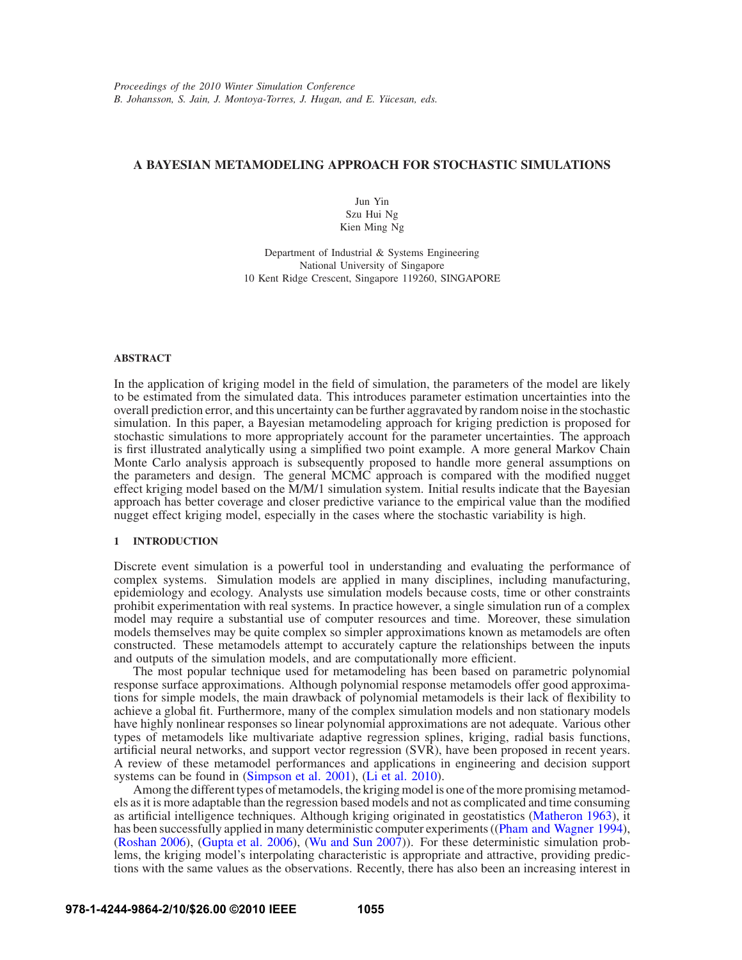# **A BAYESIAN METAMODELING APPROACH FOR STOCHASTIC SIMULATIONS**

Jun Yin Szu Hui Ng Kien Ming Ng

Department of Industrial & Systems Engineering National University of Singapore 10 Kent Ridge Crescent, Singapore 119260, SINGAPORE

### **ABSTRACT**

In the application of kriging model in the field of simulation, the parameters of the model are likely to be estimated from the simulated data. This introduces parameter estimation uncertainties into the overall prediction error, and this uncertainty can be further aggravated by random noise in the stochastic simulation. In this paper, a Bayesian metamodeling approach for kriging prediction is proposed for stochastic simulations to more appropriately account for the parameter uncertainties. The approach is first illustrated analytically using a simplified two point example. A more general Markov Chain Monte Carlo analysis approach is subsequently proposed to handle more general assumptions on the parameters and design. The general MCMC approach is compared with the modified nugget effect kriging model based on the M/M/1 simulation system. Initial results indicate that the Bayesian approach has better coverage and closer predictive variance to the empirical value than the modified nugget effect kriging model, especially in the cases where the stochastic variability is high.

# **1 INTRODUCTION**

Discrete event simulation is a powerful tool in understanding and evaluating the performance of complex systems. Simulation models are applied in many disciplines, including manufacturing, epidemiology and ecology. Analysts use simulation models because costs, time or other constraints prohibit experimentation with real systems. In practice however, a single simulation run of a complex model may require a substantial use of computer resources and time. Moreover, these simulation models themselves may be quite complex so simpler approximations known as metamodels are often constructed. These metamodels attempt to accurately capture the relationships between the inputs and outputs of the simulation models, and are computationally more efficient.

The most popular technique used for metamodeling has been based on parametric polynomial response surface approximations. Although polynomial response metamodels offer good approximations for simple models, the main drawback of polynomial metamodels is their lack of flexibility to achieve a global fit. Furthermore, many of the complex simulation models and non stationary models have highly nonlinear responses so linear polynomial approximations are not adequate. Various other types of metamodels like multivariate adaptive regression splines, kriging, radial basis functions, artificial neural networks, and support vector regression (SVR), have been proposed in recent years. A review of these metamodel performances and applications in engineering and decision support systems can be found in (Simpson et al. 2001), (Li et al. 2010).

Among the different types of metamodels, the kriging model is one of the more promising metamodels as it is more adaptable than the regression based models and not as complicated and time consuming as artificial intelligence techniques. Although kriging originated in geostatistics (Matheron 1963), it has been successfully applied in many deterministic computer experiments ((Pham and Wagner 1994), (Roshan 2006), (Gupta et al. 2006), (Wu and Sun 2007)). For these deterministic simulation problems, the kriging model's interpolating characteristic is appropriate and attractive, providing predictions with the same values as the observations. Recently, there has also been an increasing interest in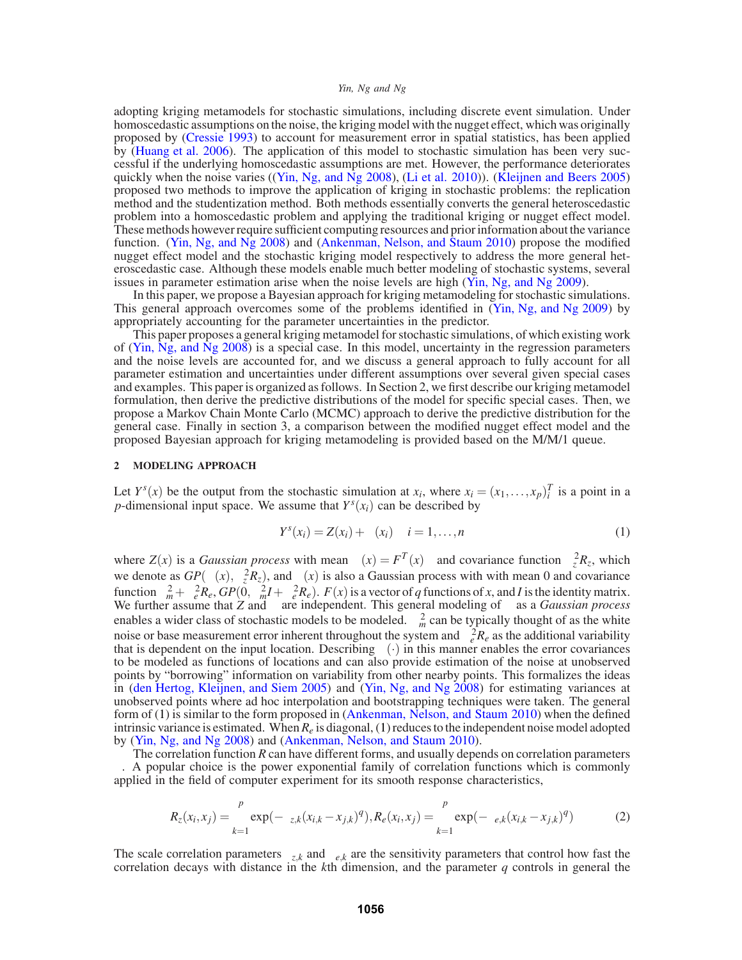adopting kriging metamodels for stochastic simulations, including discrete event simulation. Under homoscedastic assumptions on the noise, the kriging model with the nugget effect, which was originally proposed by (Cressie 1993) to account for measurement error in spatial statistics, has been applied by (Huang et al. 2006). The application of this model to stochastic simulation has been very successful if the underlying homoscedastic assumptions are met. However, the performance deteriorates quickly when the noise varies ((Yin, Ng, and Ng 2008), (Li et al. 2010)). (Kleijnen and Beers 2005) proposed two methods to improve the application of kriging in stochastic problems: the replication method and the studentization method. Both methods essentially converts the general heteroscedastic problem into a homoscedastic problem and applying the traditional kriging or nugget effect model. These methods however require sufficient computing resources and prior information about the variance function. (Yin, Ng, and Ng 2008) and (Ankenman, Nelson, and Staum 2010) propose the modified nugget effect model and the stochastic kriging model respectively to address the more general heteroscedastic case. Although these models enable much better modeling of stochastic systems, several issues in parameter estimation arise when the noise levels are high (Yin, Ng, and Ng 2009).

In this paper, we propose a Bayesian approach for kriging metamodeling for stochastic simulations. This general approach overcomes some of the problems identified in (Yin, Ng, and Ng 2009) by appropriately accounting for the parameter uncertainties in the predictor.

This paper proposes a general kriging metamodel for stochastic simulations, of which existing work of (Yin, Ng, and Ng 2008) is a special case. In this model, uncertainty in the regression parameters and the noise levels are accounted for, and we discuss a general approach to fully account for all parameter estimation and uncertainties under different assumptions over several given special cases and examples. This paper is organized as follows. In Section 2, we first describe our kriging metamodel formulation, then derive the predictive distributions of the model for specific special cases. Then, we propose a Markov Chain Monte Carlo (MCMC) approach to derive the predictive distribution for the general case. Finally in section 3, a comparison between the modified nugget effect model and the proposed Bayesian approach for kriging metamodeling is provided based on the M/M/1 queue.

### **2 MODELING APPROACH**

Let  $Y<sup>s</sup>(x)$  be the output from the stochastic simulation at  $x_i$ , where  $x_i = (x_1, \ldots, x_p)^T_i$  is a point in a *p*-dimensional input space. We assume that  $Y^s(x_i)$  can be described by

$$
Y^{s}(x_{i}) = Z(x_{i}) + \xi(x_{i}) \quad i = 1,...,n
$$
 (1)

where  $Z(x)$  is a *Gaussian process* with mean  $\mu(x) = F^T(x)\beta$  and covariance function  $\sigma_z^2 R_z$ , which we denote as  $GP(\mu(x), \sigma_z^2 R_z)$ , and  $\xi(x)$  is also a Gaussian process with with mean 0 and covariance function  $\sigma_m^2 + \sigma_e^2 R_e$ ,  $GP(0, \sigma_m^2 I + \sigma_e^2 R_e)$ .  $F(x)$  is a vector of *q* functions of *x*, and *I* is the identity matrix. We further assume that *Z* and ξ are independent. This general modeling of ξ as a *Gaussian process* enables a wider class of stochastic models to be modeled.  $\sigma_m^2$  can be typically thought of as the white noise or base measurement error inherent throughout the system and  $\sigma_e^2 R_e$  as the additional variability that is dependent on the input location. Describing  $\xi(\cdot)$  in this manner enables the error covariances to be modeled as functions of locations and can also provide estimation of the noise at unobserved points by "borrowing" information on variability from other nearby points. This formalizes the ideas in (den Hertog, Kleijnen, and Siem 2005) and (Yin, Ng, and Ng 2008) for estimating variances at unobserved points where ad hoc interpolation and bootstrapping techniques were taken. The general form of (1) is similar to the form proposed in (Ankenman, Nelson, and Staum 2010) when the defined intrinsic variance is estimated. When*Re* is diagonal, (1) reduces to the independent noise model adopted by (Yin, Ng, and Ng 2008) and (Ankenman, Nelson, and Staum 2010).

The correlation function *R* can have different forms, and usually depends on correlation parameters  $\phi$ . A popular choice is the power exponential family of correlation functions which is commonly applied in the field of computer experiment for its smooth response characteristics,

$$
R_z(x_i, x_j) = \prod_{k=1}^p \exp(-\phi_{z,k}(x_{i,k} - x_{j,k})^q), R_e(x_i, x_j) = \prod_{k=1}^p \exp(-\phi_{e,k}(x_{i,k} - x_{j,k})^q)
$$
(2)

The scale correlation parameters  $\phi_{z,k}$  and  $\phi_{e,k}$  are the sensitivity parameters that control how fast the correlation decays with distance in the *k*th dimension, and the parameter *q* controls in general the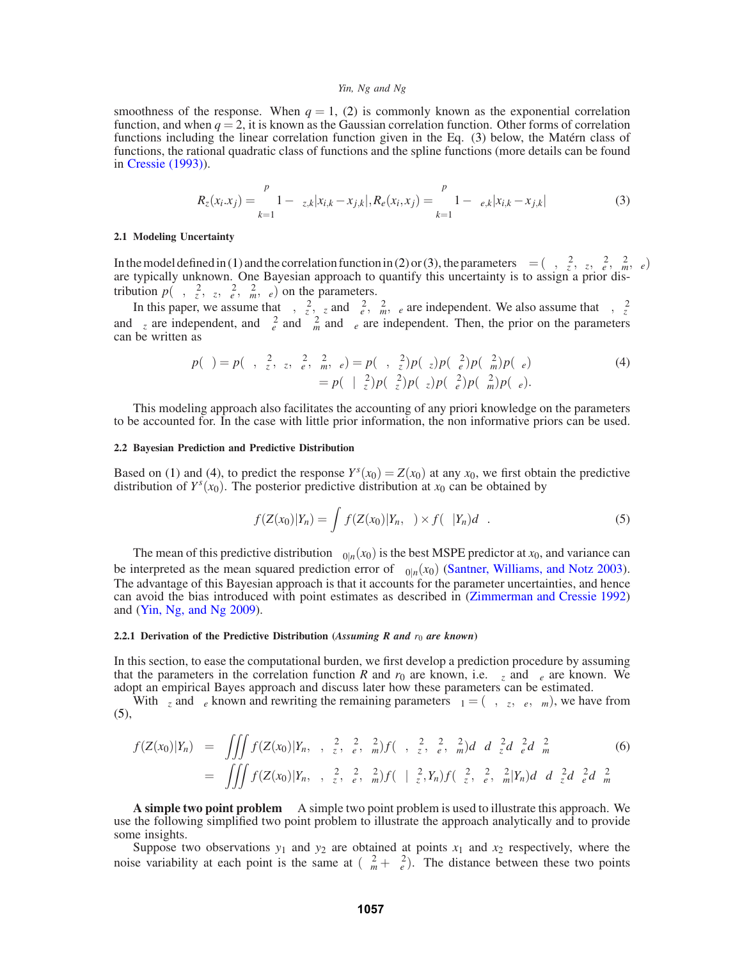smoothness of the response. When  $q = 1$ , (2) is commonly known as the exponential correlation function, and when  $q = 2$ , it is known as the Gaussian correlation function. Other forms of correlation functions including the linear correlation function given in the Eq.  $(3)$  below, the Matérn class of functions, the rational quadratic class of functions and the spline functions (more details can be found in Cressie (1993)).

$$
R_z(x_i \cdot x_j) = \prod_{k=1}^p 1 - \phi_{z,k} |x_{i,k} - x_{j,k}|, R_e(x_i, x_j) = \prod_{k=1}^p 1 - \phi_{e,k} |x_{i,k} - x_{j,k}|
$$
(3)

#### **2.1 Modeling Uncertainty**

In the model defined in (1) and the correlation function in (2) or (3), the parameters  $\theta = (\beta, \sigma_z^2, \phi_z, \sigma_e^2, \sigma_m^2, \phi_e)$ are typically unknown. One Bayesian approach to quantify this uncertainty is to assign a prior distribution  $p(\beta, \sigma_z^2, \phi_z, \sigma_e^2, \sigma_m^2, \phi_e)$  on the parameters.

In this paper, we assume that  $\beta$ ,  $\sigma_z^2$ ,  $\phi_z$  and  $\sigma_e^2$ ,  $\sigma_m^2$ ,  $\phi_e$  are independent. We also assume that  $\beta$ ,  $\sigma_z^2$  and  $\phi_z$  are independent, and  $\sigma_e^2$  and  $\sigma_m^2$  and  $\phi_e$  are independent. Then, the pri can be written as

$$
p(\theta) = p(\beta, \sigma_z^2, \phi_z, \sigma_e^2, \sigma_m^2, \phi_e) = p(\beta, \sigma_z^2) p(\phi_z) p(\sigma_e^2) p(\sigma_m^2) p(\phi_e)
$$
  
=  $p(\beta | \sigma_z^2) p(\sigma_z^2) p(\phi_z) p(\sigma_e^2) p(\sigma_m^2) p(\phi_e).$  (4)

This modeling approach also facilitates the accounting of any priori knowledge on the parameters to be accounted for. In the case with little prior information, the non informative priors can be used.

#### **2.2 Bayesian Prediction and Predictive Distribution**

Based on (1) and (4), to predict the response  $Y^s(x_0) = Z(x_0)$  at any  $x_0$ , we first obtain the predictive distribution of  $Y<sup>s</sup>(x<sub>0</sub>)$ . The posterior predictive distribution at  $x<sub>0</sub>$  can be obtained by

$$
f(Z(x_0)|Y_n) = \int_{\theta} f(Z(x_0)|Y_n, \theta) \times f(\theta|Y_n) d\theta.
$$
 (5)

The mean of this predictive distribution  $\mu_{0|n}(x_0)$  is the best MSPE predictor at  $x_0$ , and variance can be interpreted as the mean squared prediction error of  $\mu_{0|n}(x_0)$  (Santner, Williams, and Notz 2003). The advantage of this Bayesian approach is that it accounts for the parameter uncertainties, and hence can avoid the bias introduced with point estimates as described in (Zimmerman and Cressie 1992) and (Yin, Ng, and Ng 2009).

#### **2.2.1 Derivation of the Predictive Distribution (***Assuming R and* $r_0$ *are known***)**

In this section, to ease the computational burden, we first develop a prediction procedure by assuming that the parameters in the correlation function *R* and  $r_0$  are known, i.e.  $\phi_z$  and  $\phi_e$  are known. We adopt an empirical Bayes approach and discuss later how these parameters can be estimated.

With  $\phi_z$  and  $\phi_e$  known and rewriting the remaining parameters  $\theta_1 = (\beta, \sigma_z, \sigma_e, \sigma_m)$ , we have from (5),

$$
f(Z(x_0)|Y_n) = \iiint f(Z(x_0)|Y_n, \beta, \sigma_z^2, \sigma_e^2, \sigma_m^2) f(\beta, \sigma_z^2, \sigma_e^2, \sigma_m^2) d\beta d\sigma_z^2 d\sigma_e^2 d\sigma_m^2
$$
  

$$
= \iiint f(Z(x_0)|Y_n, \beta, \sigma_z^2, \sigma_e^2, \sigma_m^2) f(\beta|\sigma_z^2, Y_n) f(\sigma_z^2, \sigma_e^2, \sigma_m^2) Y_n d\beta d\sigma_z^2 d\sigma_e^2 d\sigma_m^2
$$
(6)

**A simple two point problem** A simple two point problem is used to illustrate this approach. We use the following simplified two point problem to illustrate the approach analytically and to provide some insights.

Suppose two observations  $y_1$  and  $y_2$  are obtained at points  $x_1$  and  $x_2$  respectively, where the noise variability at each point is the same at  $(\sigma_m^2 + \sigma_e^2)$ . The distance between these two points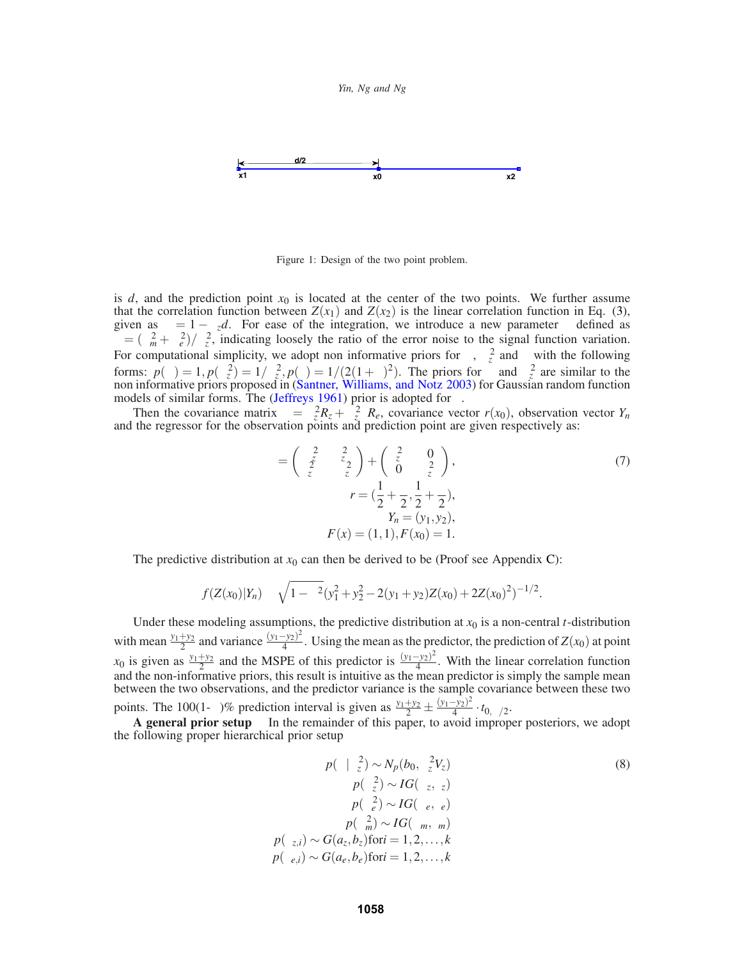



Figure 1: Design of the two point problem.

is  $d$ , and the prediction point  $x_0$  is located at the center of the two points. We further assume that the correlation function between  $Z(x_1)$  and  $Z(x_2)$  is the linear correlation function in Eq. (3), given as  $\rho = 1 - \phi_z d$ . For ease of the integration, we introduce a new parameter  $\tau$  defined as  $\tau = (\sigma_m^2 + \sigma_e^2)/\sigma_z^2$ , indicating loosely the ratio of the error noise to the signal function variation. For computational simplicity, we adopt non informative priors for  $\beta$ ,  $\sigma_z^2$  and  $\tau$  with the following forms:  $p(\beta) = 1, p(\sigma_z^2) = 1/\sigma_z^2, p(\tau) = 1/(2(1+\tau)^2)$ . The priors for  $\beta$  and  $\sigma_z^2$  are similar to the non informative priors proposed in (Santner, Williams, and Notz 2003) for Gaussian random function models of similar forms. The (Jeffreys 1961) prior is adopted for  $\tau$ .

Then the covariance matrix  $\Sigma = \sigma_z^2 R_z + \sigma_z^2 \tau R_e$ , covariance vector  $r(x_0)$ , observation vector  $Y_n$ and the regressor for the observation points and prediction point are given respectively as:

$$
\Sigma = \begin{pmatrix} \sigma_z^2 & \sigma_z^2 \rho \\ \sigma_z^2 & \sigma_z^2 \end{pmatrix} + \begin{pmatrix} \sigma_z^2 \tau & 0 \\ 0 & \sigma_z^2 \tau \end{pmatrix},
$$
  
\n
$$
r = (\frac{1}{2} + \frac{\rho}{2}, \frac{1}{2} + \frac{\rho}{2}),
$$
  
\n
$$
Y_n = (y_1, y_2),
$$
  
\n
$$
F(x) = (1, 1), F(x_0) = 1.
$$
  
\n(7)

The predictive distribution at  $x_0$  can then be derived to be (Proof see Appendix C):

$$
f(Z(x_0)|Y_n) \propto \sqrt{1-\rho^2}(y_1^2+y_2^2-2(y_1+y_2)Z(x_0)+2Z(x_0)^2)^{-1/2}.
$$

Under these modeling assumptions, the predictive distribution at  $x_0$  is a non-central *t*-distribution with mean  $\frac{y_1+y_2}{2}$  and variance  $\frac{(y_1-y_2)^2}{4}$ . Using the mean as the predictor, the prediction of *Z*(*x*<sub>0</sub>) at point  $x_0$  is given as  $\frac{y_1+y_2}{2}$  and the MSPE of this predictor is  $\frac{(y_1-y_2)^2}{4}$ . With the linear correlation function and the non-informative priors, this result is intuitive as the mean predictor is simply the sample mean between the two observations, and the predictor variance is the sample covariance between these two points. The 100(1- $\alpha$ )% prediction interval is given as  $\frac{y_1+y_2}{2} \pm \frac{(y_1-y_2)^2}{4} \cdot t_{0,\alpha/2}$ .

**A general prior setup** In the remainder of this paper, to avoid improper posteriors, we adopt the following proper hierarchical prior setup

$$
p(\beta | \sigma_z^2) \sim N_p(b_0, \sigma_z^2 V_z)
$$
  
\n
$$
p(\sigma_z^2) \sim IG(\alpha_z, \gamma_z)
$$
  
\n
$$
p(\sigma_e^2) \sim IG(\alpha_e, \gamma_e)
$$
  
\n
$$
p(\sigma_m^2) \sim IG(\alpha_m, \gamma_m)
$$
  
\n
$$
p(\phi_{z,i}) \sim G(a_z, b_z) \text{for } i = 1, 2, ..., k
$$
  
\n
$$
p(\phi_{e,i}) \sim G(a_e, b_e) \text{for } i = 1, 2, ..., k
$$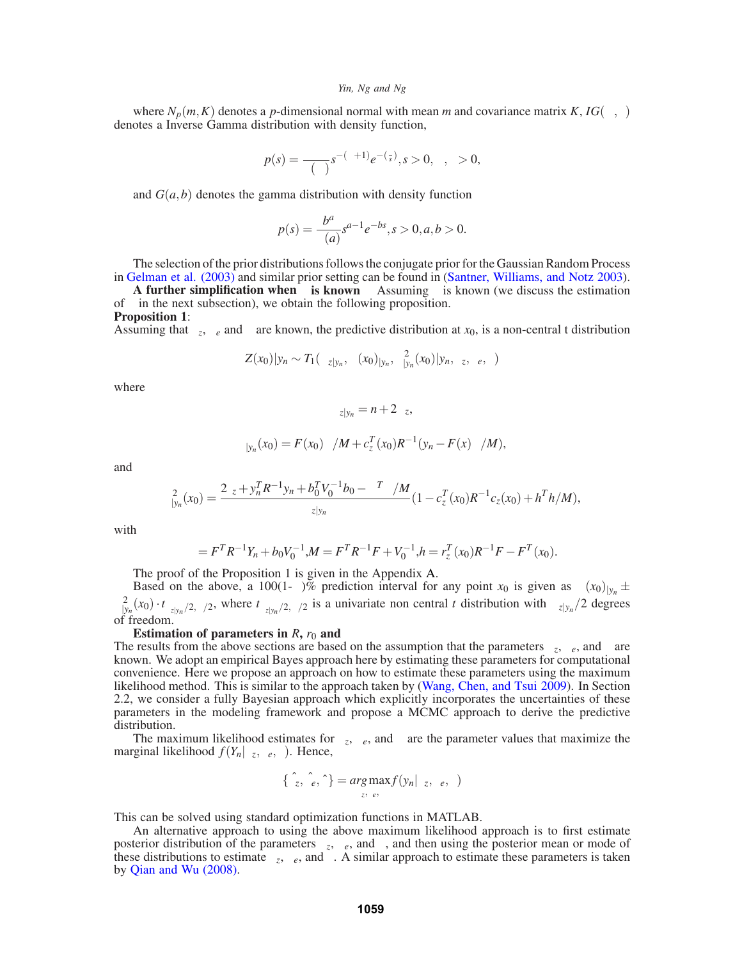where  $N_p(m,K)$  denotes a *p*-dimensional normal with mean *m* and covariance matrix *K*,  $IG(\alpha, \gamma)$ denotes a Inverse Gamma distribution with density function,

$$
p(s) = \frac{\gamma^{\alpha}}{\Gamma(\alpha)} s^{-(\alpha+1)} e^{-(\frac{\gamma}{s})}, s > 0, \alpha, \gamma > 0,
$$

and  $G(a, b)$  denotes the gamma distribution with density function

$$
p(s) = \frac{b^a}{\Gamma(a)} s^{a-1} e^{-bs}, s > 0, a, b > 0.
$$

The selection of the prior distributions follows the conjugate prior for the Gaussian Random Process in Gelman et al. (2003) and similar prior setting can be found in (Santner, Williams, and Notz 2003).

**A further simplification when**  $\tau$  is known Assuming  $\tau$  is known (we discuss the estimation of  $\tau$  in the next subsection), we obtain the following proposition. **Proposition 1**:

Assuming that  $\phi_z$ ,  $\phi_e$  and  $\tau$  are known, the predictive distribution at  $x_0$ , is a non-central t distribution

$$
Z(x_0)|y_n \sim T_1(\alpha_{z|y_n}, \mu(x_0)|y_n, \sigma_{|y_n}^2(x_0)|y_n, \phi_z, \phi_e, \tau)
$$

where

$$
\alpha_{z|y_n}=n+2\alpha_z,
$$

$$
\mu_{|y_n}(x_0) = F(x_0)\lambda/M + c_z^T(x_0)R^{-1}(y_n - F(x)\lambda/M),
$$

and

$$
\sigma_{|y_n}^2(x_0) = \frac{2\gamma_z + y_n^T R^{-1} y_n + b_0^T V_0^{-1} b_0 - \lambda^T \lambda / M}{\alpha_{z|y_n}} (1 - c_z^T(x_0) R^{-1} c_z(x_0) + h^T h / M),
$$

with

$$
\lambda = F^T R^{-1} Y_n + b_0 V_0^{-1}, M = F^T R^{-1} F + V_0^{-1}, h = r_z^T(x_0) R^{-1} F - F^T(x_0).
$$

The proof of the Proposition 1 is given in the Appendix A.

Based on the above, a 100(1- $\alpha$ )% prediction interval for any point  $x_0$  is given as  $\mu(x_0)_{|y_n} \pm \sigma_{|y_n|}^2(x_0) \cdot t_{\alpha_{z|y_n}/2, \alpha/2}$ , where  $t_{\alpha_{z|y_n}/2, \alpha/2}$  is a univariate non central t distribution with  $\alpha_{z|y_n}/2$ of freedom.

**Estimation of parameters in** *R*,  $r_0$  **and**  $\tau$ 

The results from the above sections are based on the assumption that the parameters  $\phi_z$ ,  $\phi_e$ , and  $\tau$  are known. We adopt an empirical Bayes approach here by estimating these parameters for computational convenience. Here we propose an approach on how to estimate these parameters using the maximum likelihood method. This is similar to the approach taken by (Wang, Chen, and Tsui 2009). In Section 2.2, we consider a fully Bayesian approach which explicitly incorporates the uncertainties of these parameters in the modeling framework and propose a MCMC approach to derive the predictive distribution.

The maximum likelihood estimates for  $\phi_z$ ,  $\phi_e$ , and  $\tau$  are the parameter values that maximize the marginal likelihood  $f(Y_n | \phi_z, \phi_e, \tau)$ . Hence,

$$
\{\hat{\phi}_z, \hat{\phi}_e, \hat{\tau}\} = \underset{\phi_z, \phi_e, \tau}{arg \max} f(y_n | \phi_z, \phi_e, \tau)
$$

This can be solved using standard optimization functions in MATLAB.

An alternative approach to using the above maximum likelihood approach is to first estimate posterior distribution of the parameters  $\phi_z$ ,  $\phi_e$ , and  $\tau$ , and then using the posterior mean or mode of these distributions to estimate  $\phi_z$ ,  $\phi_e$ , and  $\tau$ . A similar approach to estimate these parameters is taken by Qian and Wu (2008).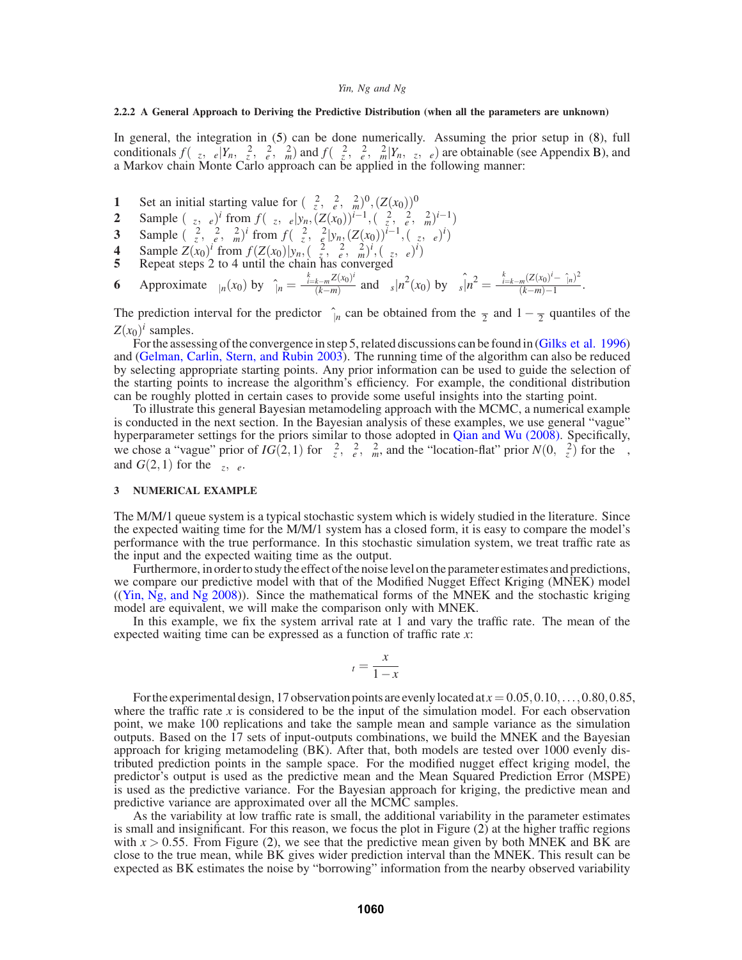### **2.2.2 A General Approach to Deriving the Predictive Distribution (when all the parameters are unknown)**

In general, the integration in (5) can be done numerically. Assuming the prior setup in (8), full conditionals  $f(\phi_z, \phi_e | Y_n, \sigma_z^2, \sigma_e^2, \sigma_m^2)$  and  $f(\sigma_z^2, \sigma_e^2, \sigma_m^2 | Y_n, \phi_z, \phi_e)$  are obtainable (see Appendix B), and a Markov chain Monte Carlo approach can be applied in the following manner:

- **1** Set an initial starting value for  $(\sigma_z^2, \sigma_e^2, \sigma_m^2)^0$ ,  $(Z(x_0))^0$
- **2** Sample  $(\phi_z, \phi_e)^i$  from  $f(\phi_z, \phi_e|y_n, (Z(x_0))^{i-1}, (\sigma_z^2, \sigma_e^2, \sigma_m^2)^{i-1})$
- **3** Sample  $(\sigma_z^2, \sigma_e^2, \sigma_m^2)^i$  from  $f(\sigma_z^2, \sigma_e^2 | y_n, (Z(x_0))^{i-1}, (\phi_z, \phi_e)^i)$
- **4** Sample  $Z(x_0)^i$  from  $f(Z(x_0)|y_n,(\sigma_z^2,\sigma_e^2,\sigma_m^2)^i,(\phi_z,\phi_e)^i)$
- **5** Repeat steps 2 to 4 until the chain has converged

6 Approximate  $\mu_{|n}(x_0)$  by  $\mu_{|n} = \frac{\sum_{i=k-m}^{k} Z(x_0)^i}{(k-m)}$  and  $\sigma_s |n^2(x_0)$  by  $\sigma_s \hat{n}^2 = \frac{\sum_{i=k-m}^{k} (Z(x_0)^i - \mu_{|n})^2}{(k-m)-1}$ .

The prediction interval for the predictor  $\mu_{\vert n}$  can be obtained from the  $\frac{\alpha}{2}$  and  $1-\frac{\alpha}{2}$  quantiles of the  $Z(x_0)^t$  samples.

For the assessing of the convergence in step 5, related discussions can be found in (Gilks et al. 1996) and (Gelman, Carlin, Stern, and Rubin 2003). The running time of the algorithm can also be reduced by selecting appropriate starting points. Any prior information can be used to guide the selection of the starting points to increase the algorithm's efficiency. For example, the conditional distribution can be roughly plotted in certain cases to provide some useful insights into the starting point.

To illustrate this general Bayesian metamodeling approach with the MCMC, a numerical example is conducted in the next section. In the Bayesian analysis of these examples, we use general "vague" hyperparameter settings for the priors similar to those adopted in Qian and Wu (2008). Specifically, we chose a "vague" prior of  $IG(2, 1)$  for  $\sigma_z^2$ ,  $\sigma_e^2$ ,  $\sigma_m^2$ , and the "location-flat" prior  $N(0, \sigma_z^2)$  for the  $\beta$ , and  $G(2,1)$  for the  $\phi_z, \phi_e$ .

## **3 NUMERICAL EXAMPLE**

The M/M/1 queue system is a typical stochastic system which is widely studied in the literature. Since the expected waiting time for the M/M/1 system has a closed form, it is easy to compare the model's performance with the true performance. In this stochastic simulation system, we treat traffic rate as the input and the expected waiting time as the output.

Furthermore, in order to study the effect of the noise level on the parameter estimates and predictions, we compare our predictive model with that of the Modified Nugget Effect Kriging (MNEK) model ((Yin, Ng, and Ng 2008)). Since the mathematical forms of the MNEK and the stochastic kriging model are equivalent, we will make the comparison only with MNEK.

In this example, we fix the system arrival rate at 1 and vary the traffic rate. The mean of the expected waiting time can be expressed as a function of traffic rate *x*:

$$
\mu_t = \frac{x}{1-x}
$$

For the experimental design, 17 observation points are evenly located at  $x = 0.05, 0.10, \ldots, 0.80, 0.85$ , where the traffic rate x is considered to be the input of the simulation model. For each observation point, we make 100 replications and take the sample mean and sample variance as the simulation outputs. Based on the 17 sets of input-outputs combinations, we build the MNEK and the Bayesian approach for kriging metamodeling (BK). After that, both models are tested over 1000 evenly distributed prediction points in the sample space. For the modified nugget effect kriging model, the predictor's output is used as the predictive mean and the Mean Squared Prediction Error (MSPE) is used as the predictive variance. For the Bayesian approach for kriging, the predictive mean and predictive variance are approximated over all the MCMC samples.

As the variability at low traffic rate is small, the additional variability in the parameter estimates is small and insignificant. For this reason, we focus the plot in Figure (2) at the higher traffic regions with  $x > 0.55$ . From Figure (2), we see that the predictive mean given by both MNEK and BK are close to the true mean, while BK gives wider prediction interval than the MNEK. This result can be expected as BK estimates the noise by "borrowing" information from the nearby observed variability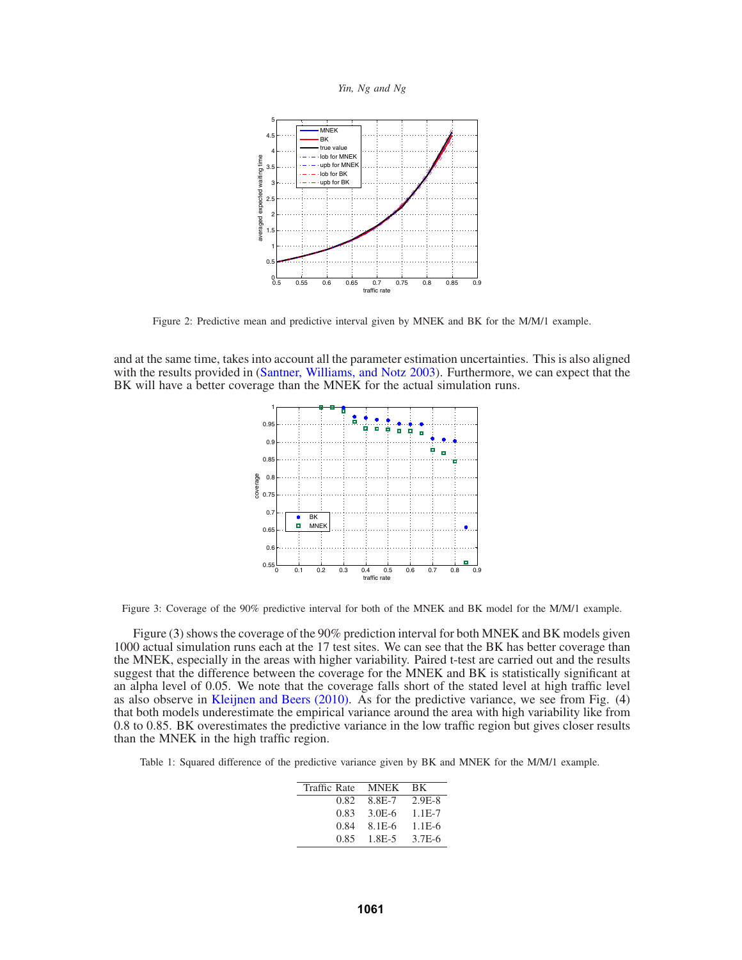



Figure 2: Predictive mean and predictive interval given by MNEK and BK for the M/M/1 example.

and at the same time, takes into account all the parameter estimation uncertainties. This is also aligned with the results provided in (Santner, Williams, and Notz 2003). Furthermore, we can expect that the BK will have a better coverage than the MNEK for the actual simulation runs.



Figure 3: Coverage of the 90% predictive interval for both of the MNEK and BK model for the M/M/1 example.

Figure (3) shows the coverage of the 90% prediction interval for both MNEK and BK models given 1000 actual simulation runs each at the 17 test sites. We can see that the BK has better coverage than the MNEK, especially in the areas with higher variability. Paired t-test are carried out and the results suggest that the difference between the coverage for the MNEK and BK is statistically significant at an alpha level of 0.05. We note that the coverage falls short of the stated level at high traffic level as also observe in Kleijnen and Beers (2010). As for the predictive variance, we see from Fig. (4) that both models underestimate the empirical variance around the area with high variability like from 0.8 to 0.85. BK overestimates the predictive variance in the low traffic region but gives closer results than the MNEK in the high traffic region.

Table 1: Squared difference of the predictive variance given by BK and MNEK for the M/M/1 example.

| Traffic Rate | MNEK                | BK.      |
|--------------|---------------------|----------|
| 0.82         | 8.8E-7              | $2.9E-8$ |
| 0.83         | $3.0E-6$            | $1.1E-7$ |
| 0.84         | 8.1 <sub>E</sub> -6 | $1.1E-6$ |
| 0.85         | 1.8E-5              | 3.7E-6   |
|              |                     |          |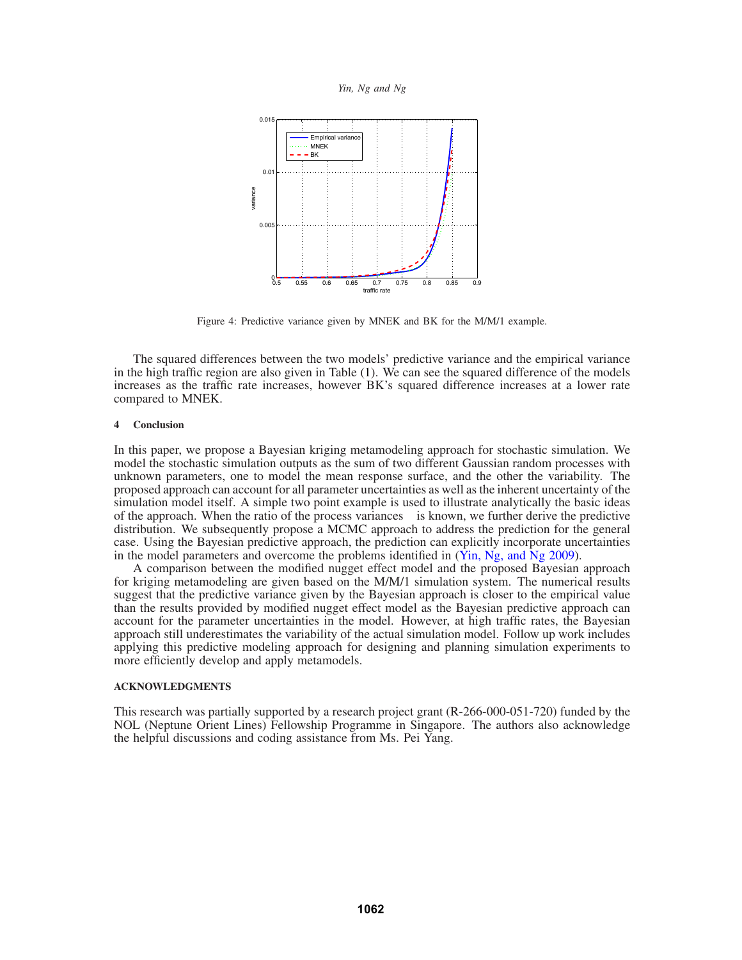



Figure 4: Predictive variance given by MNEK and BK for the M/M/1 example.

The squared differences between the two models' predictive variance and the empirical variance in the high traffic region are also given in Table (1). We can see the squared difference of the models increases as the traffic rate increases, however BK's squared difference increases at a lower rate compared to MNEK.

#### **4 Conclusion**

In this paper, we propose a Bayesian kriging metamodeling approach for stochastic simulation. We model the stochastic simulation outputs as the sum of two different Gaussian random processes with unknown parameters, one to model the mean response surface, and the other the variability. The proposed approach can account for all parameter uncertainties as well as the inherent uncertainty of the simulation model itself. A simple two point example is used to illustrate analytically the basic ideas of the approach. When the ratio of the process variances  $\tau$  is known, we further derive the predictive distribution. We subsequently propose a MCMC approach to address the prediction for the general case. Using the Bayesian predictive approach, the prediction can explicitly incorporate uncertainties in the model parameters and overcome the problems identified in (Yin, Ng, and Ng 2009).

A comparison between the modified nugget effect model and the proposed Bayesian approach for kriging metamodeling are given based on the M/M/1 simulation system. The numerical results suggest that the predictive variance given by the Bayesian approach is closer to the empirical value than the results provided by modified nugget effect model as the Bayesian predictive approach can account for the parameter uncertainties in the model. However, at high traffic rates, the Bayesian approach still underestimates the variability of the actual simulation model. Follow up work includes applying this predictive modeling approach for designing and planning simulation experiments to more efficiently develop and apply metamodels.

### **ACKNOWLEDGMENTS**

This research was partially supported by a research project grant (R-266-000-051-720) funded by the NOL (Neptune Orient Lines) Fellowship Programme in Singapore. The authors also acknowledge the helpful discussions and coding assistance from Ms. Pei Yang.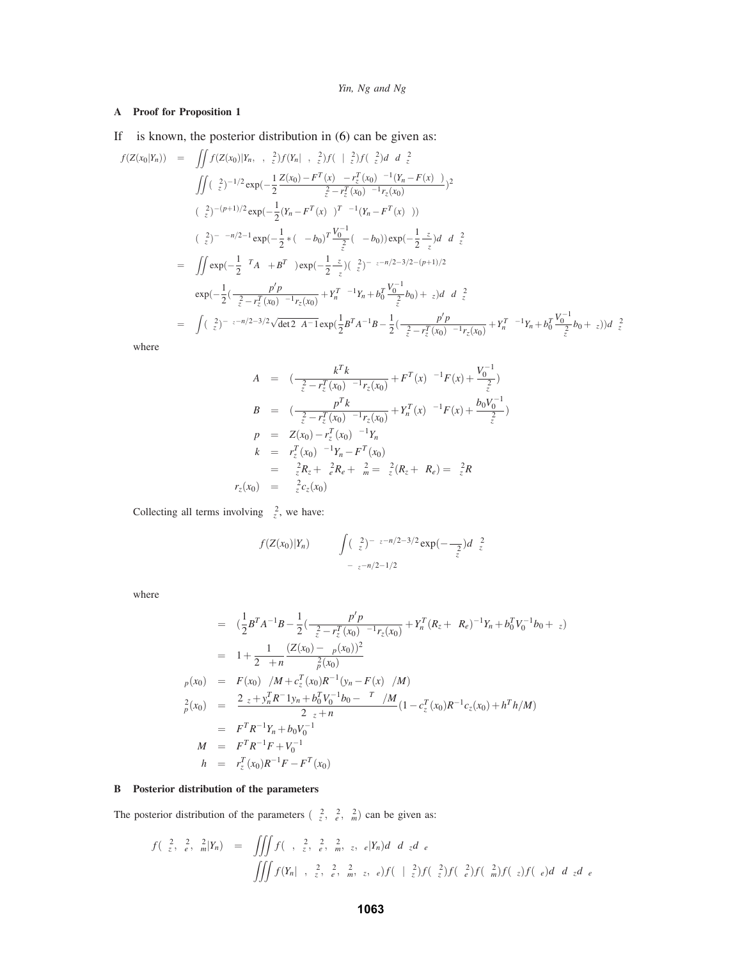## **A Proof for Proposition 1**

If  $\tau$  is known, the posterior distribution in (6) can be given as:

$$
f(Z(x_0|Y_n)) = \iint f(Z(x_0)|Y_n, \beta, \sigma_z^2) f(Y_n|\beta, \sigma_z^2) f(\beta|\sigma_z^2) f(\sigma_z^2) d\beta d\sigma_z^2
$$
  
\n
$$
\propto \iint (\sigma_z^2)^{-1/2} \exp(-\frac{1}{2} \frac{Z(x_0) - F^T(x)\beta - r_z^T(x_0)\Sigma^{-1}(Y_n - F(x)\beta)}{\sigma_z^2 - r_z^T(x_0)\Sigma^{-1}r_z(x_0)})^2
$$
  
\n
$$
(\sigma_z^2)^{-(p+1)/2} \exp(-\frac{1}{2}(Y_n - F^T(x)\beta)^T\Sigma^{-1}(Y_n - F^T(x)\beta))
$$
  
\n
$$
(\sigma_z^2)^{-\alpha - n/2 - 1} \exp(-\frac{1}{2} * (\beta - b_0)^T \frac{V_0^{-1}}{\sigma_z^2} (\beta - b_0)) \exp(-\frac{1}{2} \frac{\gamma_z}{\alpha_z}) d\beta d\sigma_z^2
$$
  
\n
$$
= \iint \exp(-\frac{1}{2} \beta^T A \beta + B^T \beta) \exp(-\frac{1}{2} \frac{\gamma_z}{\alpha_z}) (\sigma_z^2)^{-\alpha_z - n/2 - 3/2 - (p+1)/2}
$$
  
\n
$$
\exp(-\frac{1}{2} (\frac{p'p}{\sigma_z^2 - r_z^T(x_0)\Sigma^{-1}r_z(x_0)} + Y_n^T \Sigma^{-1}Y_n + b_0^T \frac{V_0^{-1}}{\sigma_z^2} b_0) + \gamma_z) d\beta d\sigma_z^2
$$
  
\n
$$
= \int (\sigma_z^2)^{-\alpha_z - n/2 - 3/2} \sqrt{\det 2\pi A^{-1}} \exp(\frac{1}{2} B^T A^{-1} B - \frac{1}{2} (\frac{p'p}{\sigma_z^2 - r_z^T(x_0)\Sigma^{-1}r_z(x_0)} + Y_n^T \Sigma^{-1}Y_n + b_0^T \frac{V_0^{-1}}{\sigma_z^2} b_0 + \gamma_z)) d\sigma_z^2
$$

where

$$
A = (\frac{k^T k}{\sigma_z^2 - r_z^T (x_0) \Sigma^{-1} r_z (x_0)} + F^T (x) \Sigma^{-1} F(x) + \frac{V_0^{-1}}{\sigma_z^2})
$$
  
\n
$$
B = (\frac{p^T k}{\sigma_z^2 - r_z^T (x_0) \Sigma^{-1} r_z (x_0)} + Y_n^T (x) \Sigma^{-1} F(x) + \frac{b_0 V_0^{-1}}{\sigma_z^2})
$$
  
\n
$$
p = Z(x_0) - r_z^T (x_0) \Sigma^{-1} Y_n
$$
  
\n
$$
k = r_z^T (x_0) \Sigma^{-1} Y_n - F^T (x_0)
$$
  
\n
$$
\Sigma = \sigma_z^2 R_z + \sigma_e^2 R_e + \sigma_m^2 = \sigma_z^2 (R_z + \tau R_e) = \sigma_z^2 R
$$
  
\n
$$
r_z(x_0) = \sigma_z^2 c_z(x_0)
$$

Collecting all terms involving  $\sigma_z^2$ , we have:

$$
f(Z(x_0)|Y_n) \propto \int (\sigma_z^2)^{-\alpha_z - n/2 - 3/2} \exp(-\frac{\Omega}{\sigma_z^2}) d\sigma_z^2
$$
  
 
$$
\propto \Omega^{-\alpha_z - n/2 - 1/2}
$$

where

$$
\Omega = \left(\frac{1}{2}B^{T}A^{-1}B - \frac{1}{2}\left(\frac{p'p}{\sigma_{z}^{2} - r_{z}^{T}(x_{0})\Sigma^{-1}r_{z}(x_{0})} + Y_{n}^{T}(R_{z} + \tau R_{e})^{-1}Y_{n} + b_{0}^{T}V_{0}^{-1}b_{0} + \gamma_{z}\right)\right)
$$
\n
$$
= 1 + \frac{1}{2\alpha + n} \frac{(Z(x_{0}) - \mu_{p}(x_{0}))^{2}}{\sigma_{p}^{2}(x_{0})}
$$
\n
$$
\mu_{p}(x_{0}) = F(x_{0})\lambda/M + c_{z}^{T}(x_{0})R^{-1}(y_{n} - F(x)\lambda/M)
$$
\n
$$
\sigma_{p}^{2}(x_{0}) = \frac{2\gamma_{z} + y_{n}^{T}R^{-1}y_{n} + b_{0}^{T}V_{0}^{-1}b_{0} - \lambda^{T}\lambda/M}{2\alpha_{z} + n} (1 - c_{z}^{T}(x_{0})R^{-1}c_{z}(x_{0}) + h^{T}h/M)
$$
\n
$$
M = F^{T}R^{-1}F_{n} + b_{0}V_{0}^{-1}
$$
\n
$$
M = F^{T}R^{-1}F + V_{0}^{-1}
$$
\n
$$
h = r_{z}^{T}(x_{0})R^{-1}F - F^{T}(x_{0})
$$

# **B Posterior distribution of the parameters**

The posterior distribution of the parameters  $(\sigma_z^2, \sigma_e^2, \sigma_m^2)$  can be given as:

$$
f(\sigma_z^2, \sigma_e^2, \sigma_m^2 | Y_n) = \iiint f(\beta, \sigma_z^2, \sigma_e^2, \sigma_m^2, \phi_z, \phi_e | Y_n) d\beta d\phi_z d\phi_e
$$
  

$$
\sim \iiint f(Y_n | \beta, \sigma_z^2, \sigma_e^2, \sigma_m^2, \phi_z, \phi_e) f(\beta | \sigma_z^2) f(\sigma_z^2) f(\sigma_e^2) f(\sigma_m^2) f(\phi_z) f(\phi_e) d\beta d\phi_z d\phi_e
$$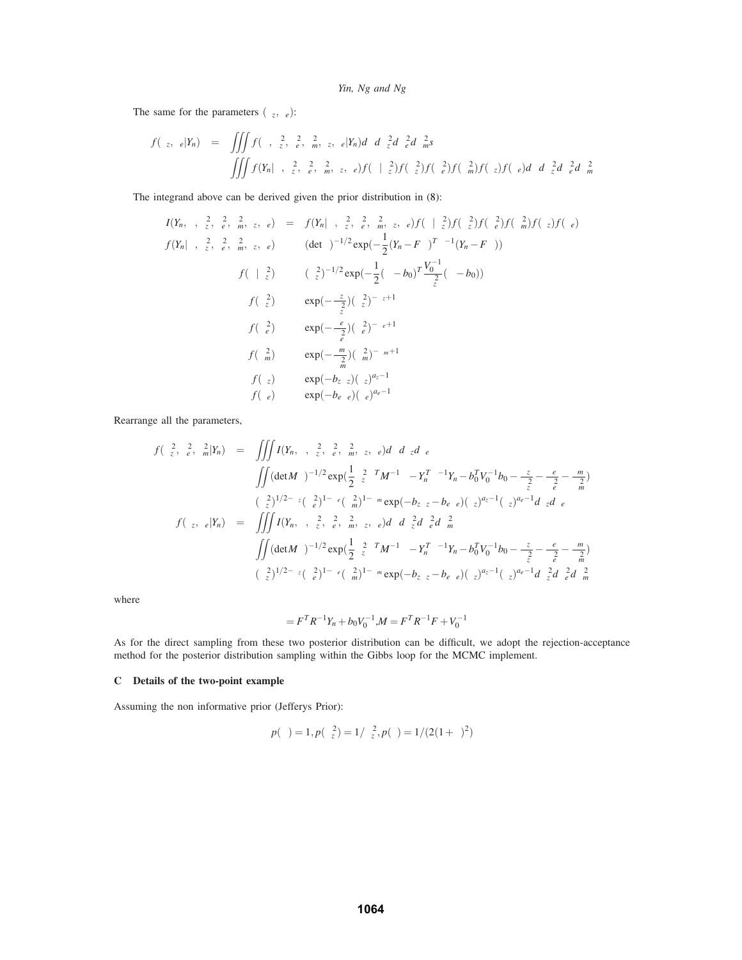The same for the parameters  $(\phi_z, \phi_e)$ :

$$
f(\phi_z, \phi_e|Y_n) = \iiint f(\beta, \sigma_z^2, \sigma_e^2, \sigma_m^2, \phi_z, \phi_e|Y_n) d\beta d\sigma_z^2 d\sigma_e^2 d\sigma_m^2 s
$$
  
 
$$
\propto \iiint f(Y_n|\beta, \sigma_z^2, \sigma_e^2, \sigma_m^2, \phi_z, \phi_e) f(\beta|\sigma_z^2) f(\sigma_z^2) f(\sigma_e^2) f(\sigma_m^2) f(\phi_z) f(\phi_e) d\beta d\sigma_z^2 d\sigma_m^2 d\sigma_m^2
$$

The integrand above can be derived given the prior distribution in (8):

$$
I(Y_n, \beta, \sigma_z^2, \sigma_m^2, \phi_z, \phi_e) = f(Y_n | \beta, \sigma_z^2, \sigma_m^2, \phi_z, \phi_e) f(\beta | \sigma_z^2) f(\sigma_z^2) f(\sigma_e^2) f(\sigma_m^2) f(\phi_z) f(\phi_e)
$$
  
\n
$$
f(Y_n | \beta, \sigma_z^2, \sigma_e^2, \sigma_m^2, \phi_z, \phi_e) \propto (\det \Sigma)^{-1/2} \exp(-\frac{1}{2}(Y_n - F\beta)^T \Sigma^{-1}(Y_n - F\beta))
$$
  
\n
$$
f(\beta | \sigma_z^2) \propto (\sigma_z^2)^{-1/2} \exp(-\frac{1}{2}(\beta - b_0)^T \frac{V_0^{-1}}{\sigma_z^2}(\beta - b_0))
$$
  
\n
$$
f(\sigma_z^2) \propto \exp(-\frac{\gamma_z}{\sigma_z^2})(\sigma_z^2)^{-\alpha_z+1}
$$
  
\n
$$
f(\sigma_e^2) \propto \exp(-\frac{\gamma_e}{\sigma_e^2})(\sigma_e^2)^{-\alpha_e+1}
$$
  
\n
$$
f(\sigma_m^2) \propto \exp(-\frac{\gamma_m}{\sigma_m^2})(\sigma_m^2)^{-\alpha_m+1}
$$
  
\n
$$
f(\phi_z) \propto \exp(-b_z\phi_z)(\phi_z)^{a_z-1}
$$
  
\n
$$
f(\phi_e) \propto \exp(-b_e\phi_e)(\phi_e)^{a_e-1}
$$

Rearrange all the parameters,

$$
f(\sigma_z^2, \sigma_e^2, \sigma_m^2 | Y_n) = \iiint I(Y_n, \beta, \sigma_z^2, \sigma_e^2, \sigma_m^2, \phi_z, \phi_e) d\beta d\phi_z d\phi_e
$$
  
\n
$$
\propto \iint (\det M\Sigma)^{-1/2} \exp(\frac{1}{2}\sigma_z^2 \lambda^T M^{-1} \lambda - Y_n^T \Sigma^{-1} Y_n - b_0^T V_0^{-1} b_0 - \frac{\gamma_z}{\sigma_z^2} - \frac{\gamma_e}{\sigma_m^2})
$$
  
\n
$$
(\sigma_z^2)^{1/2 - \alpha_z} (\sigma_e^2)^{1 - \alpha_e} (\sigma_m^2)^{1 - \alpha_m} \exp(-b_z \phi_z - b_e \phi_e) (\phi_z)^{a_z - 1} (\phi_z)^{a_e - 1} d\phi_z d\phi_e
$$
  
\n
$$
f(\phi_z, \phi_e | Y_n) = \iiint I(Y_n, \beta, \sigma_z^2, \sigma_e^2, \sigma_m^2, \phi_z, \phi_e) d\beta d\sigma_z^2 d\sigma_e^2 d\sigma_m^2
$$
  
\n
$$
\sim \iint (\det M\Sigma)^{-1/2} \exp(\frac{1}{2}\sigma_z^2 \lambda^T M^{-1} \lambda - Y_n^T \Sigma^{-1} Y_n - b_0^T V_0^{-1} b_0 - \frac{\gamma_z}{\sigma_z^2} - \frac{\gamma_e}{\sigma_e^2} - \frac{\gamma_m}{\sigma_m^2})
$$
  
\n
$$
(\sigma_z^2)^{1/2 - \alpha_z} (\sigma_e^2)^{1 - \alpha_e} (\sigma_m^2)^{1 - \alpha_m} \exp(-b_z \phi_z - b_e \phi_e) (\phi_z)^{a_z - 1} (\phi_z)^{a_e - 1} d\sigma_z^2 d\sigma_e^2 d\sigma_m^2
$$

where

$$
\lambda = F^T R^{-1} Y_n + b_0 V_0^{-1} , M = F^T R^{-1} F + V_0^{-1}
$$

As for the direct sampling from these two posterior distribution can be difficult, we adopt the rejection-acceptance method for the posterior distribution sampling within the Gibbs loop for the MCMC implement.

# **C Details of the two-point example**

Assuming the non informative prior (Jefferys Prior):

$$
p(\beta) = 1, p(\sigma_z^2) = 1/\sigma_z^2, p(\tau) = 1/(2(1+\tau)^2)
$$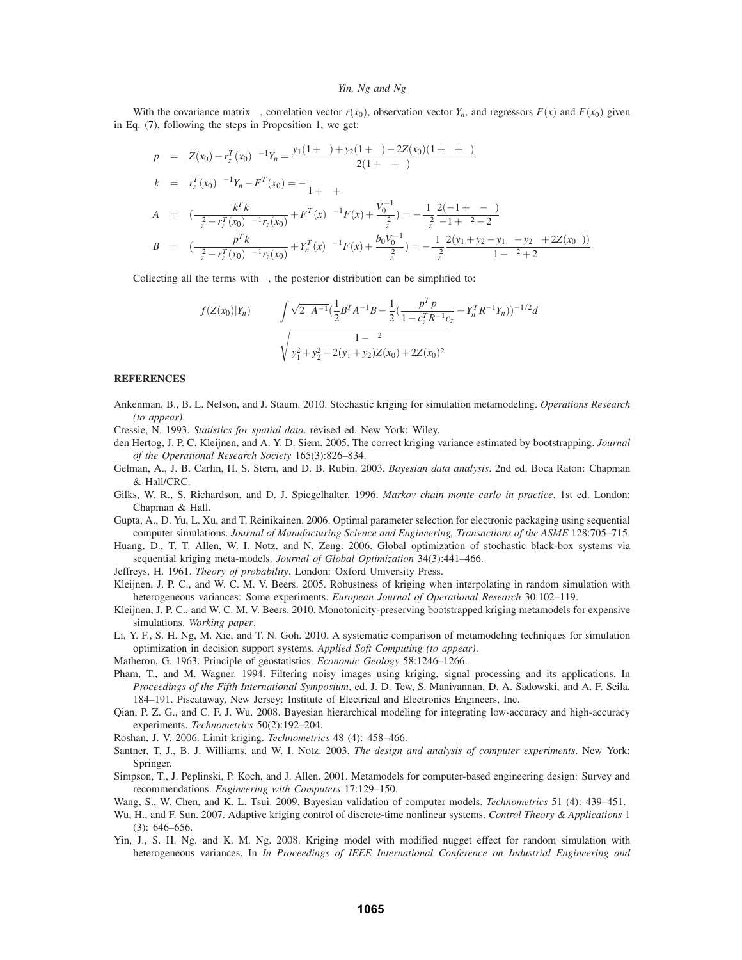With the covariance matrix Σ, correlation vector  $r(x_0)$ , observation vector  $Y_n$ , and regressors  $F(x)$  and  $F(x_0)$  given in Eq. (7), following the steps in Proposition 1, we get:

$$
p = Z(x_0) - r_z^T(x_0) \Sigma^{-1} Y_n = \frac{y_1 (1 + \rho) + y_2 (1 + \rho) - 2Z(x_0)(1 + \rho + \tau)}{2(1 + \rho + \tau)}
$$
  
\n
$$
k = r_z^T(x_0) \Sigma^{-1} Y_n - F^T(x_0) = -\frac{\tau}{1 + \rho + \tau}
$$
  
\n
$$
A = (\frac{k^T k}{\sigma_z^2 - r_z^T(x_0) \Sigma^{-1} r_z(x_0)} + F^T(x) \Sigma^{-1} F(x) + \frac{V_0^{-1}}{\sigma_z^2}) = -\frac{1}{\sigma_z^2} \frac{2(-1 + \rho - \tau)}{-1 + \rho^2 - 2\tau}
$$
  
\n
$$
B = (\frac{p^T k}{\sigma_z^2 - r_z^T(x_0) \Sigma^{-1} r_z(x_0)} + Y_n^T(x) \Sigma^{-1} F(x) + \frac{b_0 V_0^{-1}}{\sigma_z^2}) = -\frac{1}{\sigma_z^2} \frac{2(y_1 + y_2 - y_1 \rho - y_2 \rho + 2Z(x_0 \tau))}{1 - \rho^2 + 2\tau}
$$

Collecting all the terms with  $\tau$ , the posterior distribution can be simplified to:

$$
f(Z(x_0)|Y_n) \propto \int \sqrt{2\pi A^{-1}} \left(\frac{1}{2}B^T A^{-1}B - \frac{1}{2}\left(\frac{p^T p}{1 - c_z^T R^{-1} c_z} + Y_n^T R^{-1} Y_n\right)\right)^{-1/2} d\tau
$$
  

$$
\propto \sqrt{\frac{1 - \rho^2}{y_1^2 + y_2^2 - 2(y_1 + y_2)Z(x_0) + 2Z(x_0)^2}}
$$

#### **REFERENCES**

Ankenman, B., B. L. Nelson, and J. Staum. 2010. Stochastic kriging for simulation metamodeling. *Operations Research (to appear)*.

Cressie, N. 1993. *Statistics for spatial data*. revised ed. New York: Wiley.

- den Hertog, J. P. C. Kleijnen, and A. Y. D. Siem. 2005. The correct kriging variance estimated by bootstrapping. *Journal of the Operational Research Society* 165(3):826–834.
- Gelman, A., J. B. Carlin, H. S. Stern, and D. B. Rubin. 2003. *Bayesian data analysis*. 2nd ed. Boca Raton: Chapman & Hall/CRC.
- Gilks, W. R., S. Richardson, and D. J. Spiegelhalter. 1996. *Markov chain monte carlo in practice*. 1st ed. London: Chapman & Hall.
- Gupta, A., D. Yu, L. Xu, and T. Reinikainen. 2006. Optimal parameter selection for electronic packaging using sequential computer simulations. *Journal of Manufacturing Science and Engineering, Transactions of the ASME* 128:705–715.
- Huang, D., T. T. Allen, W. I. Notz, and N. Zeng. 2006. Global optimization of stochastic black-box systems via sequential kriging meta-models. *Journal of Global Optimization* 34(3):441–466.

Jeffreys, H. 1961. *Theory of probability*. London: Oxford University Press.

- Kleijnen, J. P. C., and W. C. M. V. Beers. 2005. Robustness of kriging when interpolating in random simulation with heterogeneous variances: Some experiments. *European Journal of Operational Research* 30:102–119.
- Kleijnen, J. P. C., and W. C. M. V. Beers. 2010. Monotonicity-preserving bootstrapped kriging metamodels for expensive simulations. *Working paper*.
- Li, Y. F., S. H. Ng, M. Xie, and T. N. Goh. 2010. A systematic comparison of metamodeling techniques for simulation optimization in decision support systems. *Applied Soft Computing (to appear)*.

Matheron, G. 1963. Principle of geostatistics. *Economic Geology* 58:1246–1266.

- Pham, T., and M. Wagner. 1994. Filtering noisy images using kriging, signal processing and its applications. In *Proceedings of the Fifth International Symposium*, ed. J. D. Tew, S. Manivannan, D. A. Sadowski, and A. F. Seila, 184–191. Piscataway, New Jersey: Institute of Electrical and Electronics Engineers, Inc.
- Qian, P. Z. G., and C. F. J. Wu. 2008. Bayesian hierarchical modeling for integrating low-accuracy and high-accuracy experiments. *Technometrics* 50(2):192–204.
- Roshan, J. V. 2006. Limit kriging. *Technometrics* 48 (4): 458–466.
- Santner, T. J., B. J. Williams, and W. I. Notz. 2003. *The design and analysis of computer experiments*. New York: Springer.
- Simpson, T., J. Peplinski, P. Koch, and J. Allen. 2001. Metamodels for computer-based engineering design: Survey and recommendations. *Engineering with Computers* 17:129–150.
- Wang, S., W. Chen, and K. L. Tsui. 2009. Bayesian validation of computer models. *Technometrics* 51 (4): 439–451.
- Wu, H., and F. Sun. 2007. Adaptive kriging control of discrete-time nonlinear systems. *Control Theory & Applications* 1 (3): 646–656.
- Yin, J., S. H. Ng, and K. M. Ng. 2008. Kriging model with modified nugget effect for random simulation with heterogeneous variances. In *In Proceedings of IEEE International Conference on Industrial Engineering and*